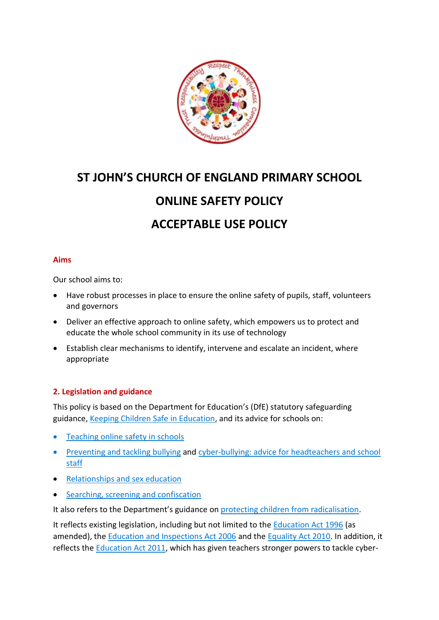

# **ST JOHN'S CHURCH OF ENGLAND PRIMARY SCHOOL**

## **ONLINE SAFETY POLICY**

## **ACCEPTABLE USE POLICY**

### **Aims**

Our school aims to:

- Have robust processes in place to ensure the online safety of pupils, staff, volunteers and governors
- Deliver an effective approach to online safety, which empowers us to protect and educate the whole school community in its use of technology
- Establish clear mechanisms to identify, intervene and escalate an incident, where appropriate

### **2. Legislation and guidance**

This policy is based on the Department for Education's (DfE) statutory safeguarding guidance, [Keeping Children Safe in Education,](https://www.gov.uk/government/publications/keeping-children-safe-in-education--2) and its advice for schools on:

- [Teaching online safety in schools](https://www.gov.uk/government/publications/teaching-online-safety-in-schools)
- [Preventing and tackling bullying](https://www.gov.uk/government/publications/preventing-and-tackling-bullying) and cyber-bullying: advice for headteachers and school [staff](https://www.gov.uk/government/publications/preventing-and-tackling-bullying)
- [Relationships and sex education](https://www.gov.uk/government/publications/relationships-education-relationships-and-sex-education-rse-and-health-education)
- [Searching, screening and confiscation](https://www.gov.uk/government/publications/searching-screening-and-confiscation)

It also refers to the Department's guidance on [protecting children from radicalisation.](https://www.gov.uk/government/publications/protecting-children-from-radicalisation-the-prevent-duty)

It reflects existing legislation, including but not limited to the [Education Act 1996](https://www.legislation.gov.uk/ukpga/1996/56/contents) (as amended), the [Education and Inspections Act 2006](https://www.legislation.gov.uk/ukpga/2006/40/contents) and the [Equality Act 2010.](https://www.legislation.gov.uk/ukpga/2010/15/contents) In addition, it reflects the [Education Act 2011,](http://www.legislation.gov.uk/ukpga/2011/21/contents/enacted) which has given teachers stronger powers to tackle cyber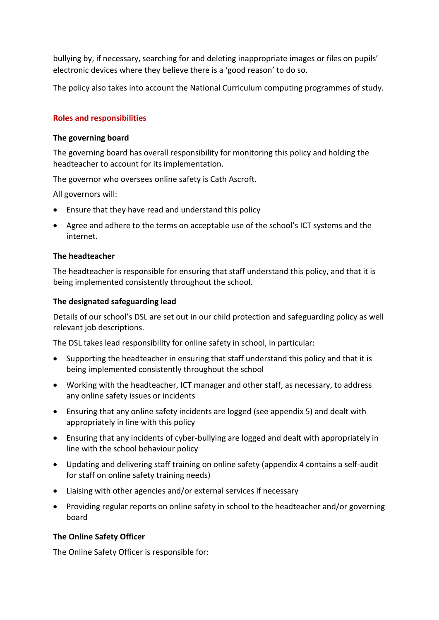bullying by, if necessary, searching for and deleting inappropriate images or files on pupils' electronic devices where they believe there is a 'good reason' to do so.

The policy also takes into account the National Curriculum computing programmes of study.

#### **Roles and responsibilities**

#### **The governing board**

The governing board has overall responsibility for monitoring this policy and holding the headteacher to account for its implementation.

The governor who oversees online safety is Cath Ascroft.

All governors will:

- Ensure that they have read and understand this policy
- Agree and adhere to the terms on acceptable use of the school's ICT systems and the internet.

#### **The headteacher**

The headteacher is responsible for ensuring that staff understand this policy, and that it is being implemented consistently throughout the school.

#### **The designated safeguarding lead**

Details of our school's DSL are set out in our child protection and safeguarding policy as well relevant job descriptions.

The DSL takes lead responsibility for online safety in school, in particular:

- Supporting the headteacher in ensuring that staff understand this policy and that it is being implemented consistently throughout the school
- Working with the headteacher, ICT manager and other staff, as necessary, to address any online safety issues or incidents
- Ensuring that any online safety incidents are logged (see appendix 5) and dealt with appropriately in line with this policy
- Ensuring that any incidents of cyber-bullying are logged and dealt with appropriately in line with the school behaviour policy
- Updating and delivering staff training on online safety (appendix 4 contains a self-audit for staff on online safety training needs)
- Liaising with other agencies and/or external services if necessary
- Providing regular reports on online safety in school to the headteacher and/or governing board

#### **The Online Safety Officer**

The Online Safety Officer is responsible for: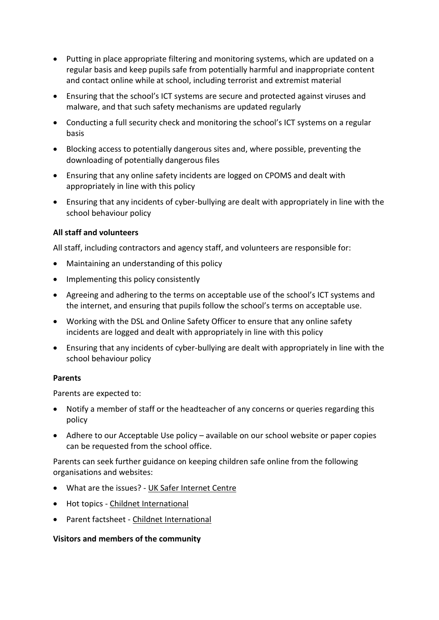- Putting in place appropriate filtering and monitoring systems, which are updated on a regular basis and keep pupils safe from potentially harmful and inappropriate content and contact online while at school, including terrorist and extremist material
- Ensuring that the school's ICT systems are secure and protected against viruses and malware, and that such safety mechanisms are updated regularly
- Conducting a full security check and monitoring the school's ICT systems on a regular basis
- Blocking access to potentially dangerous sites and, where possible, preventing the downloading of potentially dangerous files
- Ensuring that any online safety incidents are logged on CPOMS and dealt with appropriately in line with this policy
- Ensuring that any incidents of cyber-bullying are dealt with appropriately in line with the school behaviour policy

#### **All staff and volunteers**

All staff, including contractors and agency staff, and volunteers are responsible for:

- Maintaining an understanding of this policy
- Implementing this policy consistently
- Agreeing and adhering to the terms on acceptable use of the school's ICT systems and the internet, and ensuring that pupils follow the school's terms on acceptable use.
- Working with the DSL and Online Safety Officer to ensure that any online safety incidents are logged and dealt with appropriately in line with this policy
- Ensuring that any incidents of cyber-bullying are dealt with appropriately in line with the school behaviour policy

#### **Parents**

Parents are expected to:

- Notify a member of staff or the headteacher of any concerns or queries regarding this policy
- Adhere to our Acceptable Use policy available on our school website or paper copies can be requested from the school office.

Parents can seek further guidance on keeping children safe online from the following organisations and websites:

- What are the issues? [UK Safer Internet Centre](https://www.saferinternet.org.uk/advice-centre/parents-and-carers/what-are-issues)
- Hot topics [Childnet International](http://www.childnet.com/parents-and-carers/hot-topics)
- Parent factsheet [Childnet International](https://www.childnet.com/resources/parents-and-carers-resource-sheet)

#### **Visitors and members of the community**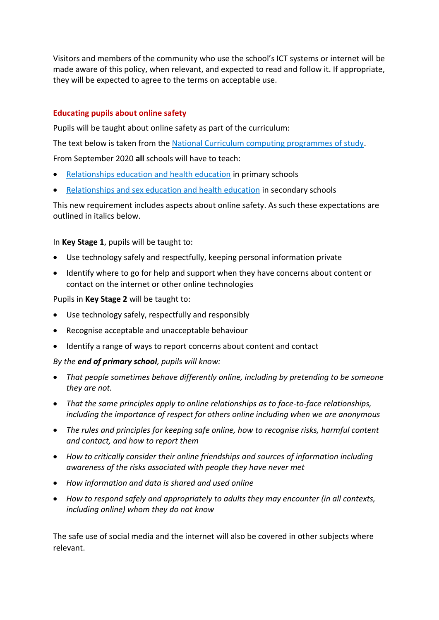Visitors and members of the community who use the school's ICT systems or internet will be made aware of this policy, when relevant, and expected to read and follow it. If appropriate, they will be expected to agree to the terms on acceptable use.

#### **Educating pupils about online safety**

Pupils will be taught about online safety as part of the curriculum:

The text below is taken from the [National Curriculum computing programmes of study.](https://www.gov.uk/government/publications/national-curriculum-in-england-computing-programmes-of-study/national-curriculum-in-england-computing-programmes-of-study)

From September 2020 **all** schools will have to teach:

- [Relationships education and health education](https://schoolleaders.thekeysupport.com/uid/8b76f587-7bf6-4994-abf0-43850c6e8d73/) in primary schools
- [Relationships and sex education and health education](https://schoolleaders.thekeysupport.com/uid/66a1d83e-2fb9-411e-91f1-fe52a09d16d1/) in secondary schools

This new requirement includes aspects about online safety. As such these expectations are outlined in italics below.

In **Key Stage 1**, pupils will be taught to:

- Use technology safely and respectfully, keeping personal information private
- Identify where to go for help and support when they have concerns about content or contact on the internet or other online technologies

Pupils in **Key Stage 2** will be taught to:

- Use technology safely, respectfully and responsibly
- Recognise acceptable and unacceptable behaviour
- Identify a range of ways to report concerns about content and contact

*By the end of primary school, pupils will know:*

- *That people sometimes behave differently online, including by pretending to be someone they are not.*
- *That the same principles apply to online relationships as to face-to-face relationships, including the importance of respect for others online including when we are anonymous*
- *The rules and principles for keeping safe online, how to recognise risks, harmful content and contact, and how to report them*
- *How to critically consider their online friendships and sources of information including awareness of the risks associated with people they have never met*
- *How information and data is shared and used online*
- *How to respond safely and appropriately to adults they may encounter (in all contexts, including online) whom they do not know*

The safe use of social media and the internet will also be covered in other subjects where relevant.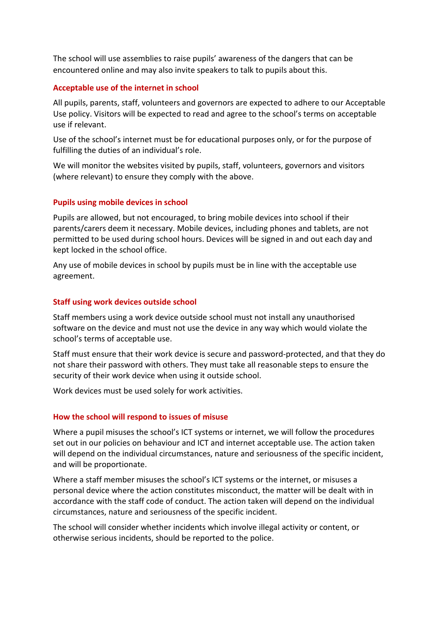The school will use assemblies to raise pupils' awareness of the dangers that can be encountered online and may also invite speakers to talk to pupils about this.

#### **Acceptable use of the internet in school**

All pupils, parents, staff, volunteers and governors are expected to adhere to our Acceptable Use policy. Visitors will be expected to read and agree to the school's terms on acceptable use if relevant.

Use of the school's internet must be for educational purposes only, or for the purpose of fulfilling the duties of an individual's role.

We will monitor the websites visited by pupils, staff, volunteers, governors and visitors (where relevant) to ensure they comply with the above.

#### **Pupils using mobile devices in school**

Pupils are allowed, but not encouraged, to bring mobile devices into school if their parents/carers deem it necessary. Mobile devices, including phones and tablets, are not permitted to be used during school hours. Devices will be signed in and out each day and kept locked in the school office.

Any use of mobile devices in school by pupils must be in line with the acceptable use agreement.

#### **Staff using work devices outside school**

Staff members using a work device outside school must not install any unauthorised software on the device and must not use the device in any way which would violate the school's terms of acceptable use.

Staff must ensure that their work device is secure and password-protected, and that they do not share their password with others. They must take all reasonable steps to ensure the security of their work device when using it outside school.

Work devices must be used solely for work activities.

#### **How the school will respond to issues of misuse**

Where a pupil misuses the school's ICT systems or internet, we will follow the procedures set out in our policies on behaviour and ICT and internet acceptable use. The action taken will depend on the individual circumstances, nature and seriousness of the specific incident, and will be proportionate.

Where a staff member misuses the school's ICT systems or the internet, or misuses a personal device where the action constitutes misconduct, the matter will be dealt with in accordance with the staff code of conduct. The action taken will depend on the individual circumstances, nature and seriousness of the specific incident.

The school will consider whether incidents which involve illegal activity or content, or otherwise serious incidents, should be reported to the police.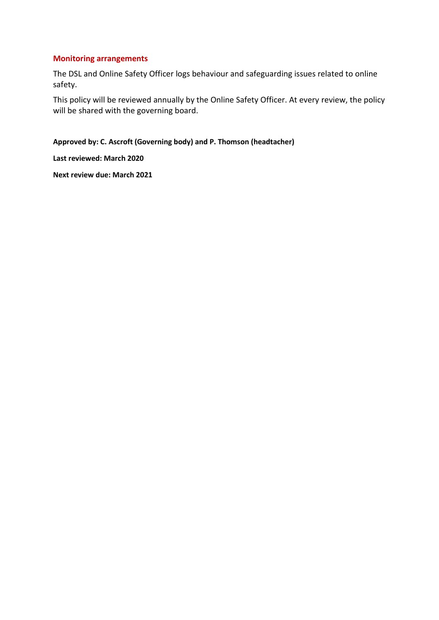#### **Monitoring arrangements**

The DSL and Online Safety Officer logs behaviour and safeguarding issues related to online safety.

This policy will be reviewed annually by the Online Safety Officer. At every review, the policy will be shared with the governing board.

**Approved by: C. Ascroft (Governing body) and P. Thomson (headtacher)**

**Last reviewed: March 2020**

**Next review due: March 2021**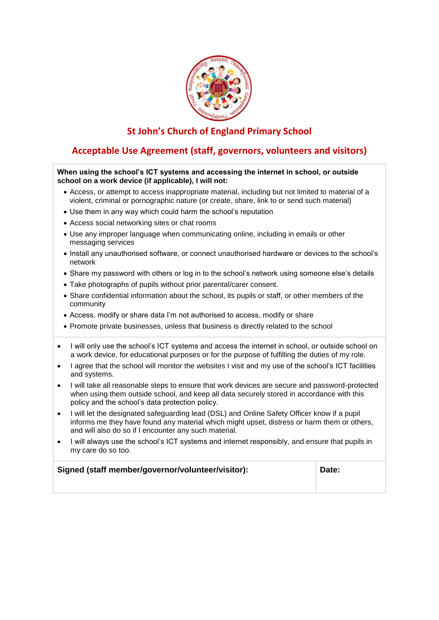

## **St John's Church of England Primary School**

## **Acceptable Use Agreement (staff, governors, volunteers and visitors)**

**When using the school's ICT systems and accessing the internet in school, or outside school on a work device (if applicable), I will not:**

- Access, or attempt to access inappropriate material, including but not limited to material of a violent, criminal or pornographic nature (or create, share, link to or send such material)
- Use them in any way which could harm the school's reputation
- Access social networking sites or chat rooms
- Use any improper language when communicating online, including in emails or other messaging services
- Install any unauthorised software, or connect unauthorised hardware or devices to the school's network
- Share my password with others or log in to the school's network using someone else's details
- Take photographs of pupils without prior parental/carer consent.
- Share confidential information about the school, its pupils or staff, or other members of the community
- Access, modify or share data I'm not authorised to access, modify or share
- Promote private businesses, unless that business is directly related to the school
- I will only use the school's ICT systems and access the internet in school, or outside school on a work device, for educational purposes or for the purpose of fulfilling the duties of my role.
- I agree that the school will monitor the websites I visit and my use of the school's ICT facilities and systems.
- I will take all reasonable steps to ensure that work devices are secure and password-protected when using them outside school, and keep all data securely stored in accordance with this policy and the school's data protection policy.
- I will let the designated safeguarding lead (DSL) and Online Safety Officer know if a pupil informs me they have found any material which might upset, distress or harm them or others, and will also do so if I encounter any such material.
- I will always use the school's ICT systems and internet responsibly, and ensure that pupils in my care do so too.

| Signed (staff member/governor/volunteer/visitor): | Date: |
|---------------------------------------------------|-------|
|                                                   |       |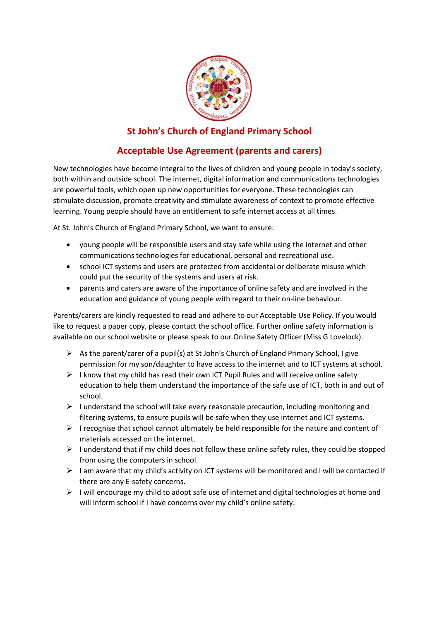

## **St John's Church of England Primary School**

## **Acceptable Use Agreement (parents and carers)**

New technologies have become integral to the lives of children and young people in today's society, both within and outside school. The internet, digital information and communications technologies are powerful tools, which open up new opportunities for everyone. These technologies can stimulate discussion, promote creativity and stimulate awareness of context to promote effective learning. Young people should have an entitlement to safe internet access at all times.

At St. John's Church of England Primary School, we want to ensure:

- young people will be responsible users and stay safe while using the internet and other communications technologies for educational, personal and recreational use.
- school ICT systems and users are protected from accidental or deliberate misuse which could put the security of the systems and users at risk.
- parents and carers are aware of the importance of online safety and are involved in the education and guidance of young people with regard to their on-line behaviour.

Parents/carers are kindly requested to read and adhere to our Acceptable Use Policy. If you would like to request a paper copy, please contact the school office. Further online safety information is available on our school website or please speak to our Online Safety Officer (Miss G Lovelock).

- $\triangleright$  As the parent/carer of a pupil(s) at St John's Church of England Primary School, I give permission for my son/daughter to have access to the internet and to ICT systems at school.
- $\triangleright$  I know that my child has read their own ICT Pupil Rules and will receive online safety education to help them understand the importance of the safe use of ICT, both in and out of school.
- $\triangleright$  I understand the school will take every reasonable precaution, including monitoring and filtering systems, to ensure pupils will be safe when they use internet and ICT systems.
- $\triangleright$  I recognise that school cannot ultimately be held responsible for the nature and content of materials accessed on the internet.
- $\triangleright$  I understand that if my child does not follow these online safety rules, they could be stopped from using the computers in school.
- $\triangleright$  I am aware that my child's activity on ICT systems will be monitored and I will be contacted if there are any E-safety concerns.
- $\triangleright$  I will encourage my child to adopt safe use of internet and digital technologies at home and will inform school if I have concerns over my child's online safety.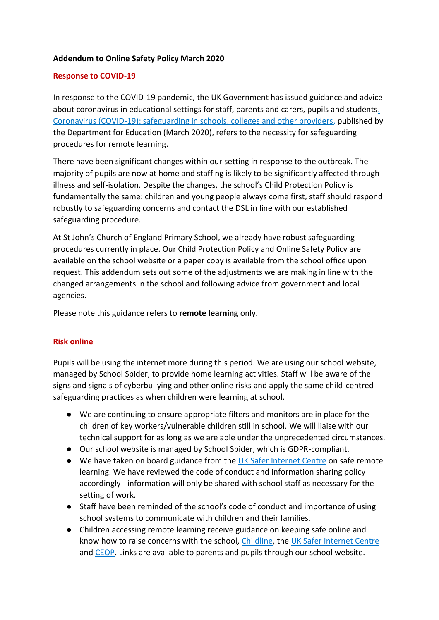#### **Addendum to Online Safety Policy March 2020**

#### **Response to COVID-19**

In response to the COVID-19 pandemic, the UK Government has issued guidance and advice about coronavirus in educational settings for staff, parents and carers, pupils and student[s.](https://www.gov.uk/government/publications/covid-19-safeguarding-in-schools-colleges-and-other-providers)  [Coronavirus \(COVID-19\): safeguarding in schools, colleges and other providers,](https://www.gov.uk/government/publications/covid-19-safeguarding-in-schools-colleges-and-other-providers) published by the Department for Education (March 2020), refers to the necessity for safeguarding procedures for remote learning.

There have been significant changes within our setting in response to the outbreak. The majority of pupils are now at home and staffing is likely to be significantly affected through illness and self-isolation. Despite the changes, the school's Child Protection Policy is fundamentally the same: children and young people always come first, staff should respond robustly to safeguarding concerns and contact the DSL in line with our established safeguarding procedure.

At St John's Church of England Primary School, we already have robust safeguarding procedures currently in place. Our Child Protection Policy and Online Safety Policy are available on the school website or a paper copy is available from the school office upon request. This addendum sets out some of the adjustments we are making in line with the changed arrangements in the school and following advice from government and local agencies.

Please note this guidance refers to **remote learning** only.

#### **Risk online**

Pupils will be using the internet more during this period. We are using our school website, managed by School Spider, to provide home learning activities. Staff will be aware of the signs and signals of cyberbullying and other online risks and apply the same child-centred safeguarding practices as when children were learning at school.

- We are continuing to ensure appropriate filters and monitors are in place for the children of key workers/vulnerable children still in school. We will liaise with our technical support for as long as we are able under the unprecedented circumstances.
- Our school website is managed by School Spider, which is GDPR-compliant.
- We have taken on board guidance from the [UK Safer Internet Centre](https://swgfl.org.uk/resources/safe-remote-learning/) on safe remote learning. We have reviewed the code of conduct and information sharing policy accordingly - information will only be shared with school staff as necessary for the setting of work.
- Staff have been reminded of the school's code of conduct and importance of using school systems to communicate with children and their families.
- Children accessing remote learning receive guidance on keeping safe online and know how to raise concerns with the school, [Childline,](https://www.childline.org.uk/?utm_source=google&utm_medium=cpc&utm_campaign=UK_GO_S_B_BND_Grant_Childline_Information&utm_term=role_of_childline&gclsrc=aw.ds&&gclid=EAIaIQobChMIlfLRh-ez6AIVRrDtCh1N9QR2EAAYASAAEgLc-vD_BwE&gclsrc=aw.ds) th[e UK Safer Internet Centre](https://reportharmfulcontent.com/) and [CEOP.](https://www.ceop.police.uk/safety-centre/) Links are available to parents and pupils through our school website.